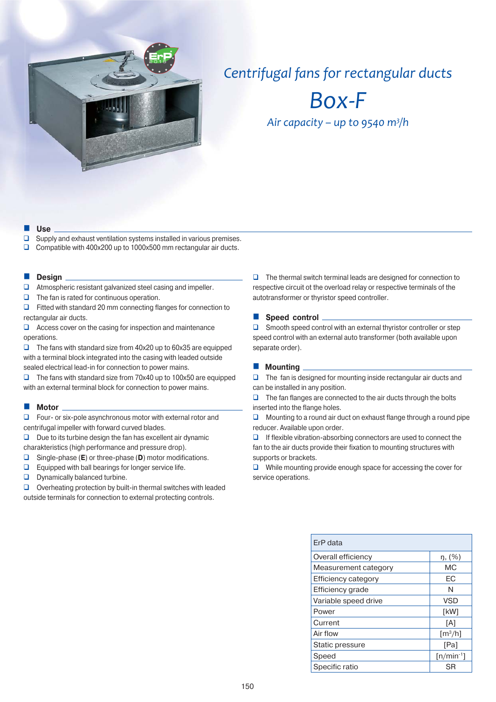

# *Centrifugal fans for rectangular ducts*

*Box-F*

*Air capacity – up to 9540 m<sup>3</sup>/h* 

#### **Use**

 $\square$  Supply and exhaust ventilation systems installed in various premises. □ Compatible with 400x200 up to 1000x500 mm rectangular air ducts.

#### **Design**

- **Q** Atmospheric resistant galvanized steel casing and impeller.
- $\Box$  The fan is rated for continuous operation.

 $\Box$  Fitted with standard 20 mm connecting flanges for connection to rectangular air ducts.

 $\Box$  Access cover on the casing for inspection and maintenance operations.

 $\Box$  The fans with standard size from 40x20 up to 60x35 are equipped with a terminal block integrated into the casing with leaded outside sealed electrical lead-in for connection to power mains.

 The fans with standard size from 70x40 up to 100x50 are equipped with an external terminal block for connection to power mains.

## **Motor**

□ Four- or six-pole asynchronous motor with external rotor and centrifugal impeller with forward curved blades.

 $\Box$  Due to its turbine design the fan has excellent air dynamic

charakteristics (high performance and pressure drop).

- Single-phase (**E**) or three-phase (**D**) motor modifications.
- $\Box$  Equipped with ball bearings for longer service life.
- **D** Dynamically balanced turbine.

 $\Box$  Overheating protection by built-in thermal switches with leaded outside terminals for connection to external protecting controls.

 $\Box$  The thermal switch terminal leads are designed for connection to respective circuit ot the overload relay or respective terminals of the autotransformer or thyristor speed controller.

**Speed control** 

 $\square$  Smooth speed control with an external thyristor controller or step speed control with an external auto transformer (both available upon separate order).

## **Mounting**

 $\Box$  The fan is designed for mounting inside rectangular air ducts and can be installed in any position.

 $\Box$  The fan flanges are connected to the air ducts through the bolts inserted into the flange holes.

 $\Box$  Mounting to a round air duct on exhaust flange through a round pipe reducer. Available upon order.

 $\Box$  If flexible vibration-absorbing connectors are used to connect the fan to the air ducts provide their fixation to mounting structures with supports or brackets.

 $\Box$  While mounting provide enough space for accessing the cover for service operations.

| ErP data                   |                              |
|----------------------------|------------------------------|
| Overall efficiency         | $\eta$ , $(\%)$              |
| Measurement category       | МC                           |
| <b>Efficiency category</b> | ЕC                           |
| Efficiency grade           | N                            |
| Variable speed drive       | <b>VSD</b>                   |
| Power                      | [kW]                         |
| Current                    | [A]                          |
| Air flow                   | $\left[\frac{m^3}{h}\right]$ |
| Static pressure            | [Pa]                         |
| Speed                      | $[n/min^{-1}]$               |
| Specific ratio             | SR                           |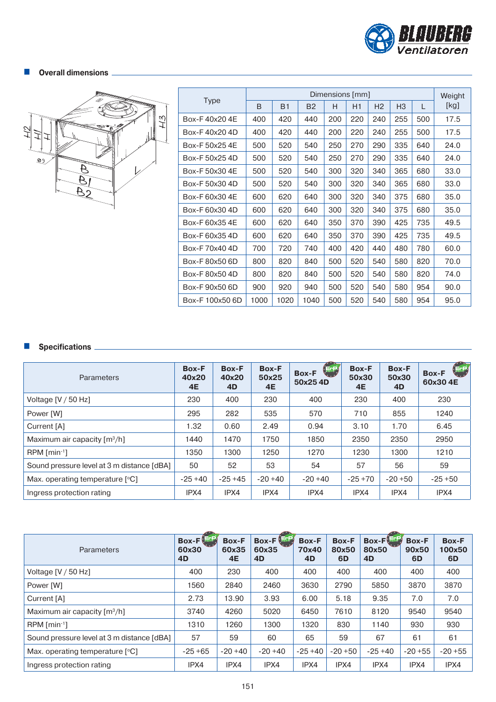

# $\blacksquare$  Overall dimensions <sub>-</sub>



|                 |      |                |           | Dimensions [mm] |     |                |                |     | Weight |
|-----------------|------|----------------|-----------|-----------------|-----|----------------|----------------|-----|--------|
| <b>Type</b>     | B    | B <sub>1</sub> | <b>B2</b> | H               | H1  | H <sub>2</sub> | H <sub>3</sub> | L   | [kg]   |
| Box-F40x204F    | 400  | 420            | 440       | 200             | 220 | 240            | 255            | 500 | 17.5   |
| Box-F40x204D    | 400  | 420            | 440       | 200             | 220 | 240            | 255            | 500 | 17.5   |
| Box-F 50x25 4E  | 500  | 520            | 540       | 250             | 270 | 290            | 335            | 640 | 24.0   |
| Box-F 50x25 4D  | 500  | 520            | 540       | 250             | 270 | 290            | 335            | 640 | 24.0   |
| Box-F 50x30 4E  | 500  | 520            | 540       | 300             | 320 | 340            | 365            | 680 | 33.0   |
| Box-F 50x30 4D  | 500  | 520            | 540       | 300             | 320 | 340            | 365            | 680 | 33.0   |
| Box-F60x304F    | 600  | 620            | 640       | 300             | 320 | 340            | 375            | 680 | 35.0   |
| Box-F 60x30 4D  | 600  | 620            | 640       | 300             | 320 | 340            | 375            | 680 | 35.0   |
| Box-F 60x35 4E  | 600  | 620            | 640       | 350             | 370 | 390            | 425            | 735 | 49.5   |
| Box-F 60x35 4D  | 600  | 620            | 640       | 350             | 370 | 390            | 425            | 735 | 49.5   |
| Box-F 70x40 4D  | 700  | 720            | 740       | 400             | 420 | 440            | 480            | 780 | 60.0   |
| Box-F 80x50 6D  | 800  | 820            | 840       | 500             | 520 | 540            | 580            | 820 | 70.0   |
| Box-F 80x50 4D  | 800  | 820            | 840       | 500             | 520 | 540            | 580            | 820 | 74.0   |
| Box-F90x50 6D   | 900  | 920            | 940       | 500             | 520 | 540            | 580            | 954 | 90.0   |
| Box-F 100x50 6D | 1000 | 1020           | 1040      | 500             | 520 | 540            | 580            | 954 | 95.0   |

# **Specifications**

| <b>Parameters</b>                          | <b>Box-F</b><br>40x20<br><b>4E</b> | Box-F<br>40x20<br>4D | <b>Box-F</b><br>50x25<br><b>4E</b> | <b>ErP</b><br><b>Box-F</b><br>50x254D | Box-F<br>50x30<br><b>4E</b> | <b>Box-F</b><br>50x30<br>4D | (ErP)<br><b>Box-F</b><br>60x304E |
|--------------------------------------------|------------------------------------|----------------------|------------------------------------|---------------------------------------|-----------------------------|-----------------------------|----------------------------------|
| Voltage $[V / 50 Hz]$                      | 230                                | 400                  | 230                                | 400                                   | 230                         | 400                         | 230                              |
| Power [W]                                  | 295                                | 282                  | 535                                | 570                                   | 710                         | 855                         | 1240                             |
| Current [A]                                | 1.32                               | 0.60                 | 2.49                               | 0.94                                  | 3.10                        | 1.70                        | 6.45                             |
| Maximum air capacity [m3/h]                | 1440                               | 1470                 | 1750                               | 1850                                  | 2350                        | 2350                        | 2950                             |
| $RPM$ [min-1]                              | 1350                               | 1300                 | 1250                               | 1270                                  | 1230                        | 1300                        | 1210                             |
| Sound pressure level at 3 m distance [dBA] | 50                                 | 52                   | 53                                 | 54                                    | 57                          | 56                          | 59                               |
| Max. operating temperature [°C]            | $-25+40$                           | $-25+45$             | $-20+40$                           | $-20+40$                              | $-25+70$                    | $-20 + 50$                  | $-25+50$                         |
| Ingress protection rating                  | IPX4                               | IPX4                 | IPX4                               | IPX4                                  | IPX4                        | IPX4                        | IPX4                             |

| <b>Parameters</b>                          | Box-F <sup>ET</sup><br>60x30<br>4D | <b>Box-F</b><br>60x35<br><b>4E</b> | Box-F <sup>151</sup><br>60x35<br>4D | <b>Box-F</b><br>70x40<br>4D | <b>Box-F</b><br>80x50<br>6D | Box-F<br>80x50<br>4D | <b>Box-F</b><br>90x50<br>6D | <b>Box-F</b><br>100x50<br>6D |
|--------------------------------------------|------------------------------------|------------------------------------|-------------------------------------|-----------------------------|-----------------------------|----------------------|-----------------------------|------------------------------|
| Voltage [V / 50 Hz]                        | 400                                | 230                                | 400                                 | 400                         | 400                         | 400                  | 400                         | 400                          |
| Power [W]                                  | 1560                               | 2840                               | 2460                                | 3630                        | 2790                        | 5850                 | 3870                        | 3870                         |
| Current [A]                                | 2.73                               | 13.90                              | 3.93                                | 6.00                        | 5.18                        | 9.35                 | 7.0                         | 7.0                          |
| Maximum air capacity $\lceil m^3/h \rceil$ | 3740                               | 4260                               | 5020                                | 6450                        | 7610                        | 8120                 | 9540                        | 9540                         |
| $RPM$ [min <sup>-1</sup> ]                 | 1310                               | 1260                               | 1300                                | 1320                        | 830                         | 1140                 | 930                         | 930                          |
| Sound pressure level at 3 m distance [dBA] | 57                                 | 59                                 | 60                                  | 65                          | 59                          | 67                   | 61                          | 61                           |
| Max. operating temperature $[°C]$          | $-25+65$                           | $-20+40$                           | $-20+40$                            | $-25+40$                    | $-20+50$                    | $-25+40$             | $-20 + 55$                  | $-20 + 55$                   |
| Ingress protection rating                  | IPX4                               | IPX4                               | IPX4                                | IPX4                        | IPX4                        | IPX4                 | IPX4                        | IPX4                         |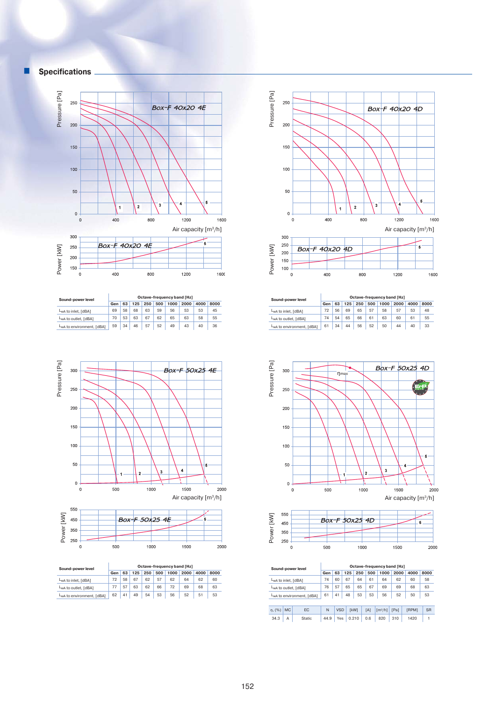



|                                        |     |    |     |     |     |      | Octave-frequency band [Hz] |      |      |
|----------------------------------------|-----|----|-----|-----|-----|------|----------------------------|------|------|
| Sound-power level                      |     |    |     |     |     |      |                            |      |      |
|                                        | Gen | 63 | 125 | 250 | 500 | 1000 | 2000                       | 4000 | 8000 |
| LwA to inlet. [dBA]                    | 69  | 58 | 68  | 63  | 59  | 56   | 53                         | 53   | 45   |
| LwA to outlet, [dBA]                   | 70  | 53 | 63  | 67  | 62  | 65   | 63                         | 58   | 55   |
| L <sub>w</sub> A to environment. [dBA] | 59  | 34 | 46  | 57  | 52  | 49   | 43                         | 40   | 36   |





| Sound-power level                     | Octave-frequency band [Hz] |    |     |     |     |      |      |      |      |  |  |  |
|---------------------------------------|----------------------------|----|-----|-----|-----|------|------|------|------|--|--|--|
|                                       | Gen                        | 63 | 125 | 250 | 500 | 1000 | 2000 | 4000 | 8000 |  |  |  |
| L <sub>wA</sub> to inlet, [dBA]       | 72                         | 58 | 67  | 62  | 57  | 62   | 64   | 62   | 60   |  |  |  |
| LwA to outlet, [dBA]                  | 77                         | 57 | 63  | 62  | 66  | 72   | 69   | 68   | 63   |  |  |  |
| L <sub>wA</sub> to environment, [dBA] | 62                         | 41 | 49  | 54  | 53  | 56   | 52   | 51   | 53   |  |  |  |



| Sound-power level                      | Octave-frequency band [Hz]                             |    |    |    |    |    |    |    |      |  |  |  |
|----------------------------------------|--------------------------------------------------------|----|----|----|----|----|----|----|------|--|--|--|
|                                        | 63<br>1000<br>2000<br>125<br>250<br>500<br>4000<br>Gen |    |    |    |    |    |    |    | 8000 |  |  |  |
| LwA to inlet, [dBA]                    | 72                                                     | 56 | 69 | 65 | 57 | 58 | 57 | 53 | 48   |  |  |  |
| L <sub>wA</sub> to outlet, [dBA]       | 74                                                     | 54 | 65 | 66 | 61 | 63 | 60 | 61 | 55   |  |  |  |
| L <sub>w</sub> A to environment, [dBA] | 61                                                     | 34 | 44 | 56 | 52 | 50 | 44 | 40 | 33   |  |  |  |

 $800$ 

1200

1600

400

 $\,$  0  $\,$ 





|                     |           | Sound-power level                     | Octave-frequency band [Hz] |            |     |             |     |                              |      |              |           |  |  |  |
|---------------------|-----------|---------------------------------------|----------------------------|------------|-----|-------------|-----|------------------------------|------|--------------|-----------|--|--|--|
|                     |           |                                       | Gen                        | 63         | 125 | 250         | 500 | 1000                         | 2000 | 4000         | 8000      |  |  |  |
| LwA to inlet, [dBA] |           |                                       | 74                         | 60         | 67  | 64          | 61  | 64                           | 62   | 60           | 58        |  |  |  |
|                     |           | LwA to outlet, [dBA]                  | 76                         | 57         | 65  | 65          | 67  | 69                           | 69   | 68           | 63        |  |  |  |
|                     |           | L <sub>wA</sub> to environment, [dBA] | 61                         | 41         | 48  | 53          | 53  | 56                           | 52   | 50           | 53        |  |  |  |
|                     |           |                                       |                            |            |     |             |     |                              |      |              |           |  |  |  |
| n. (%)              | <b>MC</b> | EC                                    | N                          | <b>VSD</b> |     | <b>TkW1</b> | [A] | $\left[\frac{m^3}{h}\right]$ | [Pa] | <b>IRPM1</b> | <b>SR</b> |  |  |  |
| 34.3                | A         | Static                                | 44.9                       | Yes        |     | 0.210       | 0.6 | 820                          | 310  | 1420         |           |  |  |  |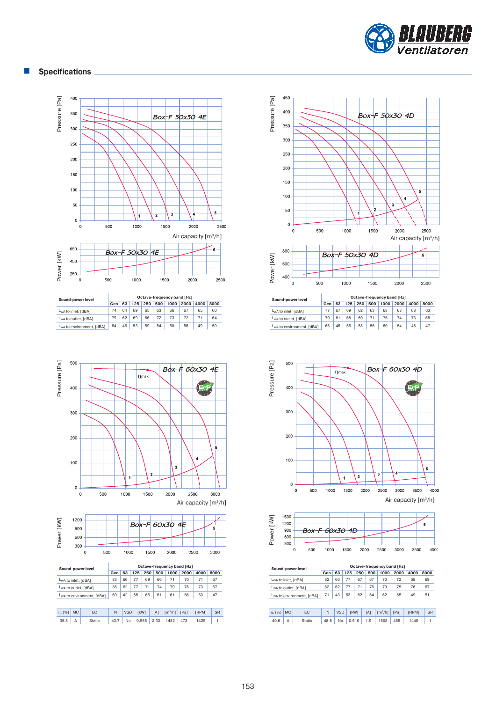

## **Specifications**





| Sound-power level                      | Octave-frequency band [Hz] |    |     |     |     |      |      |      |      |  |  |  |
|----------------------------------------|----------------------------|----|-----|-----|-----|------|------|------|------|--|--|--|
|                                        | Gen                        | 63 | 125 | 250 | 500 | 1000 | 2000 | 4000 | 8000 |  |  |  |
| L <sub>wA</sub> to inlet, [dBA]        | 74                         | 64 | 69  | 65  | 63  | 66   | 67   | 65   | 60   |  |  |  |
| LwA to outlet, [dBA]                   | 79                         | 62 | 69  | 66  | 72  | 73   | 72   |      | 64   |  |  |  |
| L <sub>w</sub> A to environment. [dBA] | 64                         | 46 | 53  | 59  | 54  | 58   | 56   | 49   | 50   |  |  |  |



|                     |           | Sound-power level                      |      |            |     |             |      | Octave-frequency band [Hz] |      |              |           |
|---------------------|-----------|----------------------------------------|------|------------|-----|-------------|------|----------------------------|------|--------------|-----------|
|                     |           |                                        | Gen  | 63         | 125 | 250         | 500  | 1000                       | 2000 | 4000         | 8000      |
| LwA to inlet, [dBA] |           |                                        | 83   | 66         | 77  | 69          | 66   | 71                         | 70   | 71           | 67        |
|                     |           | LwA to outlet, [dBA]                   | 85   | 62         | 77  | 71          | 74   | 79                         | 76   | 73           | 67        |
|                     |           | L <sub>w</sub> A to environment, [dBA] | 69   | 42         | 65  | 66          | 61   | 61                         | 56   | 53           | 47        |
|                     |           |                                        |      |            |     |             |      |                            |      |              |           |
| n, (%)              | <b>MC</b> | EC                                     | N    | <b>VSD</b> |     | <b>TkW1</b> | [A]  | $\lceil m^3/h \rceil$      | [Pa] | <b>FRPM1</b> | <b>SR</b> |
| 35.8                | А         | Static                                 | 43.7 | No         |     | 0.555       | 2.33 | 1482                       | 473  | 1425         |           |





| Sound-power level                     | Octave-frequency band [Hz] |    |     |     |     |      |      |      |      |  |  |  |
|---------------------------------------|----------------------------|----|-----|-----|-----|------|------|------|------|--|--|--|
|                                       | Gen                        | 63 | 125 | 250 | 500 | 1000 | 2000 | 4000 | 8000 |  |  |  |
| LwA to inlet, [dBA]                   | 77                         | 67 | 69  | 62  | 63  | 68   | 68   | 68   | 63   |  |  |  |
| LwA to outlet, [dBA]                  | 79                         | 61 | 68  | 69  | 71  | 75   | 74   | 73   | 68   |  |  |  |
| L <sub>wA</sub> to environment, [dBA] | 65                         | 46 | 55  | 58  | 56  | 60   | 54   | 48   | 47   |  |  |  |





|                     |           | Sound-power level         | Octave-frequency band [Hz] |            |     |             |     |                       |      |       |           |  |  |  |
|---------------------|-----------|---------------------------|----------------------------|------------|-----|-------------|-----|-----------------------|------|-------|-----------|--|--|--|
|                     |           |                           | Gen                        | 63         | 125 | 250         | 500 | 1000                  | 2000 | 4000  | 8000      |  |  |  |
| LwA to inlet, [dBA] |           |                           | 82                         | 66         | 77  | 67          | 67  | 70                    | 72   | 68    | 69        |  |  |  |
|                     |           | LwA to outlet, [dBA]      | 82                         | 62         | 77  | 71          | 76  | 79                    | 75   | 76    | 67        |  |  |  |
|                     |           | LwA to environment. [dBA] | 71                         | 63         | 62  | 64          | 62  | 55                    | 49   | 51    |           |  |  |  |
|                     |           |                           |                            |            |     |             |     |                       |      |       |           |  |  |  |
| n, (%)              | <b>MC</b> | EC                        | N                          | <b>VSD</b> |     | <b>TkW1</b> | [A] | $\lceil m^3/h \rceil$ | [Pa] | [RPM] | <b>SR</b> |  |  |  |
| 40.6                | A         | Static                    | 48.8                       | No         |     | 0.510       | 1.9 | 1508                  | 485  | 1440  | 1         |  |  |  |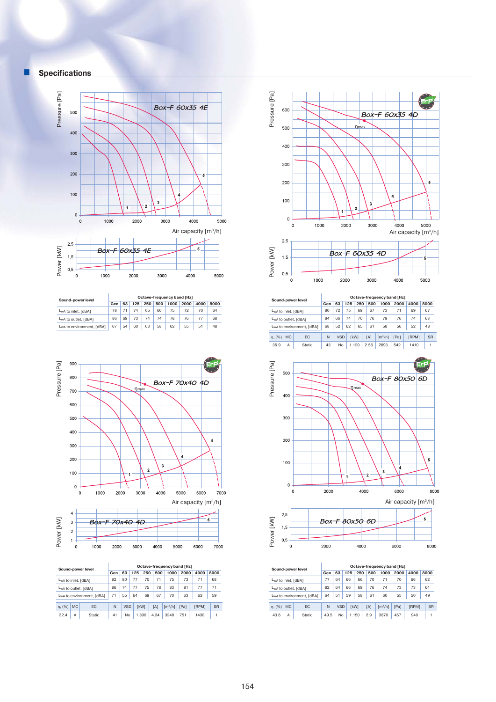





| Sound-power level                     |     | Octave-frequency band [Hz] |     |     |     |      |      |      |      |  |  |  |  |
|---------------------------------------|-----|----------------------------|-----|-----|-----|------|------|------|------|--|--|--|--|
|                                       | Gen | 63                         | 125 | 250 | 500 | 1000 | 2000 | 4000 | 8000 |  |  |  |  |
| L <sub>wA</sub> to inlet, [dBA]       | 78  |                            | 74  | 65  | 66  | 75   | 72   | 70   | 64   |  |  |  |  |
| LwA to outlet, [dBA]                  | 86  | 69                         | 73  | 74  | 74  | 78   | 76   | 77   | 68   |  |  |  |  |
| L <sub>wA</sub> to environment, [dBA] | 67  | 54                         | 60  | 63  | 58  | 62   | 55   | 51   | 48   |  |  |  |  |



|     | $\sim$<br>v. |      |      | <b>Box-F 70x40 4D</b> |      |      |      |      |      |  |
|-----|--------------|------|------|-----------------------|------|------|------|------|------|--|
|     | ∼            |      |      |                       |      |      |      |      |      |  |
| wer |              |      |      |                       |      |      |      |      |      |  |
| ج   |              |      |      |                       |      |      |      |      |      |  |
|     |              | 1000 | 2000 |                       | 3000 | 4000 | 5000 | 6000 | 7000 |  |
|     |              |      |      |                       |      |      |      |      |      |  |

| Sound-power level                      | Octave-frequency band [Hz] |               |     |            |     |             |      |     |                         |      |                                                |           |  |
|----------------------------------------|----------------------------|---------------|-----|------------|-----|-------------|------|-----|-------------------------|------|------------------------------------------------|-----------|--|
|                                        |                            |               | Gen | 63         | 125 | 250         |      | 500 | 1000                    | 2000 | 4000<br>71<br>77<br>62<br><b>FRPM1</b><br>1430 | 8000      |  |
| LwA to inlet, [dBA]                    |                            |               | 82  | 80         | 77  | 70          |      | 71  | 75                      | 73   |                                                | 68        |  |
| LwA to outlet, [dBA]                   |                            |               | 86  | 74<br>77   |     | 75          | 78   |     | 83                      | 81   |                                                | 71        |  |
| L <sub>w</sub> A to environment, [dBA] |                            |               | 71  | 55         | 64  | 69          | 67   |     | 70                      | 63   |                                                | 59        |  |
| n, (%)                                 | <b>MC</b>                  | EC            | N   | <b>VSD</b> |     | <b>TkW1</b> | [A]  |     | $\text{Im}^3/\text{hl}$ | [Pa] |                                                | <b>SR</b> |  |
| 32.4                                   | Α                          | <b>Static</b> | 41  | No         |     | 1.890       | 4.34 |     | 3240                    | 751  |                                                |           |  |





| Sound-power level   |                           |                      | Octave-frequency band [Hz] |            |     |       |      |  |                         |      |                        |  |           |  |  |
|---------------------|---------------------------|----------------------|----------------------------|------------|-----|-------|------|--|-------------------------|------|------------------------|--|-----------|--|--|
|                     |                           |                      | Gen                        | 63         | 125 | 250   | 500  |  | 1000                    | 2000 | 4000<br>69<br>74<br>52 |  | 8000      |  |  |
| LwA to inlet. [dBA] |                           |                      | 80                         | 72         | 75  | 69    | 67   |  | 73                      | 71   |                        |  | 67        |  |  |
|                     |                           | LwA to outlet. [dBA] | 84                         | 66         | 74  | 70    | 76   |  | 79                      | 76   |                        |  | 68        |  |  |
|                     | LwA to environment. [dBA] |                      | 68                         | 52         | 62  | 65    | 61   |  | 58                      | 56   |                        |  | 48        |  |  |
| n. (%)              | <b>MC</b>                 | EC                   | N                          | <b>VSD</b> |     | [kW]  | [A]  |  | $\text{Im}^3/\text{hl}$ | [Pa] | <b>FRPM1</b>           |  | <b>SR</b> |  |  |
| 36.9                | Α                         | Static               | 43                         | No         |     | 1.120 | 2.56 |  | 2693                    | 542  | 1410                   |  |           |  |  |





|                                 |           | Sound-power level                     | Octave-frequency band [Hz] |                            |     |             |     |                         |      |              |  |           |  |  |
|---------------------------------|-----------|---------------------------------------|----------------------------|----------------------------|-----|-------------|-----|-------------------------|------|--------------|--|-----------|--|--|
|                                 |           |                                       | Gen                        | 63                         | 125 | 250         | 500 | 1000                    | 2000 | 4000         |  | 8000      |  |  |
| L <sub>wA</sub> to inlet, [dBA] |           |                                       | 77                         | 64                         | 66  | 66          | 70  | 71                      | 70   | 66           |  | 62        |  |  |
|                                 |           | LwA to outlet, [dBA]                  | 82                         | 64                         | 66  | 69          | 76  | 74                      | 73   | 73           |  | 64        |  |  |
|                                 |           | L <sub>wA</sub> to environment, [dBA] | 64                         | 51<br>59<br>58<br>61<br>60 |     |             |     |                         | 55   | 50           |  | 49        |  |  |
| n. (%)                          | <b>MC</b> | EC                                    | N                          | <b>VSD</b>                 |     | <b>TkW1</b> | [A] | $\text{Im}^3/\text{hl}$ | [Pa] | <b>IRPM1</b> |  | <b>SR</b> |  |  |
| 43.6                            | A         | Static                                | 49.5                       | No                         |     | 1.150       | 2.9 | 3870                    | 457  | 940          |  |           |  |  |